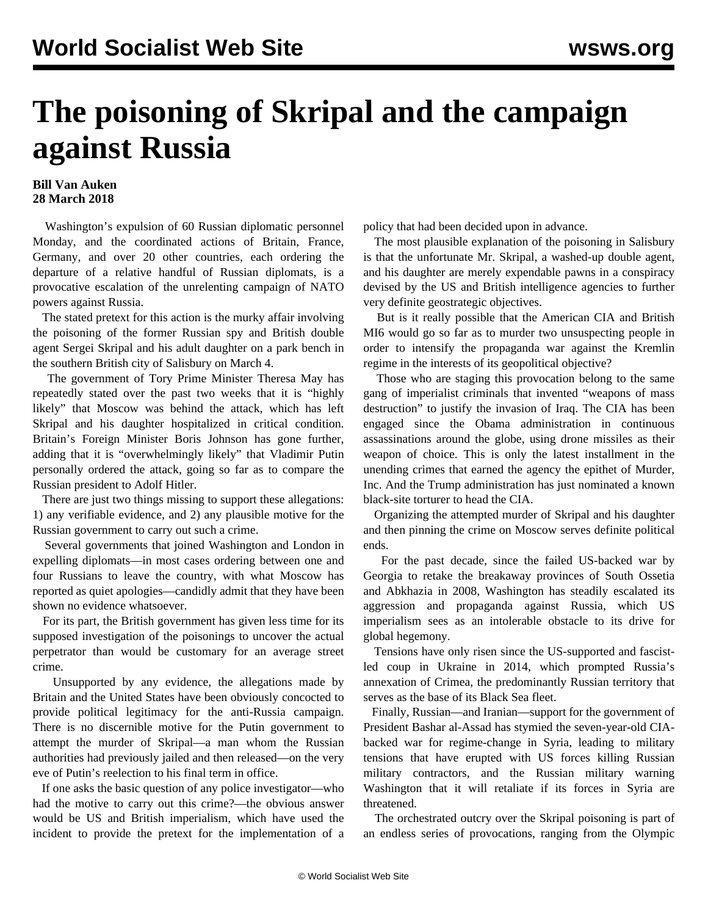## **The poisoning of Skripal and the campaign against Russia**

## **Bill Van Auken 28 March 2018**

 Washington's expulsion of 60 Russian diplomatic personnel Monday, and the coordinated actions of Britain, France, Germany, and over 20 other countries, each ordering the departure of a relative handful of Russian diplomats, is a provocative escalation of the unrelenting campaign of NATO powers against Russia.

 The stated pretext for this action is the murky affair involving the poisoning of the former Russian spy and British double agent Sergei Skripal and his adult daughter on a park bench in the southern British city of Salisbury on March 4.

 The government of Tory Prime Minister Theresa May has repeatedly stated over the past two weeks that it is "highly likely" that Moscow was behind the attack, which has left Skripal and his daughter hospitalized in critical condition. Britain's Foreign Minister Boris Johnson has gone further, adding that it is "overwhelmingly likely" that Vladimir Putin personally ordered the attack, going so far as to compare the Russian president to Adolf Hitler.

 There are just two things missing to support these allegations: 1) any verifiable evidence, and 2) any plausible motive for the Russian government to carry out such a crime.

 Several governments that joined Washington and London in expelling diplomats—in most cases ordering between one and four Russians to leave the country, with what Moscow has reported as quiet apologies—candidly admit that they have been shown no evidence whatsoever.

 For its part, the British government has given less time for its supposed investigation of the poisonings to uncover the actual perpetrator than would be customary for an average street crime.

 Unsupported by any evidence, the allegations made by Britain and the United States have been obviously concocted to provide political legitimacy for the anti-Russia campaign. There is no discernible motive for the Putin government to attempt the murder of Skripal—a man whom the Russian authorities had previously jailed and then released—on the very eve of Putin's reelection to his final term in office.

 If one asks the basic question of any police investigator—who had the motive to carry out this crime?—the obvious answer would be US and British imperialism, which have used the incident to provide the pretext for the implementation of a policy that had been decided upon in advance.

 The most plausible explanation of the poisoning in Salisbury is that the unfortunate Mr. Skripal, a washed-up double agent, and his daughter are merely expendable pawns in a conspiracy devised by the US and British intelligence agencies to further very definite geostrategic objectives.

 But is it really possible that the American CIA and British MI6 would go so far as to murder two unsuspecting people in order to intensify the propaganda war against the Kremlin regime in the interests of its geopolitical objective?

 Those who are staging this provocation belong to the same gang of imperialist criminals that invented "weapons of mass destruction" to justify the invasion of Iraq. The CIA has been engaged since the Obama administration in continuous assassinations around the globe, using drone missiles as their weapon of choice. This is only the latest installment in the unending crimes that earned the agency the epithet of Murder, Inc. And the Trump administration has just nominated a known black-site torturer to head the CIA.

 Organizing the attempted murder of Skripal and his daughter and then pinning the crime on Moscow serves definite political ends.

 For the past decade, since the failed US-backed war by Georgia to retake the breakaway provinces of South Ossetia and Abkhazia in 2008, Washington has steadily escalated its aggression and propaganda against Russia, which US imperialism sees as an intolerable obstacle to its drive for global hegemony.

 Tensions have only risen since the US-supported and fascistled coup in Ukraine in 2014, which prompted Russia's annexation of Crimea, the predominantly Russian territory that serves as the base of its Black Sea fleet.

 Finally, Russian—and Iranian—support for the government of President Bashar al-Assad has stymied the seven-year-old CIAbacked war for regime-change in Syria, leading to military tensions that have erupted with US forces killing Russian military contractors, and the Russian military warning Washington that it will retaliate if its forces in Syria are threatened.

 The orchestrated outcry over the Skripal poisoning is part of an endless series of provocations, ranging from the Olympic